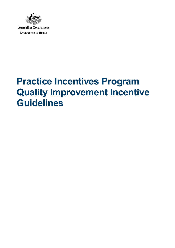

**Australian Government Department of Health** 

# **Practice Incentives Program Quality Improvement Incentive Guidelines**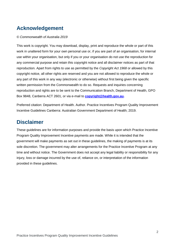# **Acknowledgement**

#### *© Commonwealth of Australia 2019*

This work is copyright. You may download, display, print and reproduce the whole or part of this work in unaltered form for your own personal use or, if you are part of an organisation, for internal use within your organisation, but only if you or your organisation do not use the reproduction for any commercial purpose and retain this copyright notice and all disclaimer notices as part of that reproduction. Apart from rights to use as permitted by the *Copyright Act 1968* or allowed by this copyright notice, all other rights are reserved and you are not allowed to reproduce the whole or any part of this work in any way (electronic or otherwise) without first being given the specific written permission from the Commonwealth to do so. Requests and inquiries concerning reproduction and rights are to be sent to the Communication Branch, Department of Health, GPO Box 9848, Canberra ACT 2601, or via e-mail to **[copyright@health.gov.au.](mailto:copyright@health.gov.au)**

Preferred citation: Department of Health. Author. Practice Incentives Program Quality Improvement Incentive Guidelines Canberra: Australian Government Department of Health; 2019.

#### **Disclaimer**

These guidelines are for information purposes and provide the basis upon which Practice Incentive Program Quality Improvement Incentive payments are made. While it is intended that the government will make payments as set out in these guidelines, the making of payments is at its sole discretion. The government may alter arrangements for the Practice Incentive Program at any time and without notice. The Government does not accept any legal liability or responsibility for any injury, loss or damage incurred by the use of, reliance on, or interpretation of the information provided in these guidelines.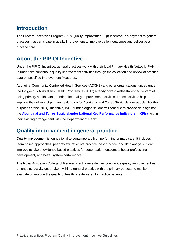# **Introduction**

The Practice Incentives Program (PIP) Quality Improvement (QI) Incentive is a payment to general practices that participate in quality improvement to improve patient outcomes and deliver best practice care.

# **About the PIP QI Incentive**

Under the PIP QI Incentive, general practices work with their local Primary Health Network (PHN) to undertake continuous quality improvement activities through the collection and review of practice data on specified Improvement Measures.

Aboriginal Community Controlled Health Services (ACCHS) and other organisations funded under the Indigenous Australians' Health Programme (IAHP) already have a well-established system of using primary health data to undertake quality improvement activities. These activities help improve the delivery of primary health care for Aboriginal and Torres Strait Islander people. For the purposes of the PIP QI Incentive, IAHP funded organisations will continue to provide data against the **[Aboriginal and Torres Strait Islander National Key Performance Indicators \(nKPIs\),](http://www.health.gov.au/internet/main/publishing.nsf/content/indigenous-nkpidata)** within their existing arrangement with the Department of Health.

# **Quality improvement in general practice**

Quality improvement is foundational to contemporary high performing primary care. It includes team based approaches, peer review, reflective practice, best practice, and data analysis. It can improve uptake of evidence-based practices for better patient outcomes, better professional development, and better system performance.

The Royal Australian College of General Practitioners defines continuous quality improvement as an ongoing activity undertaken within a general practice with the primary purpose to monitor, evaluate or improve the quality of healthcare delivered to practice patients.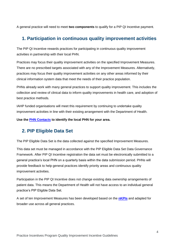A general practice will need to meet **two components** to qualify for a PIP QI Incentive payment.

#### **1. Participation in continuous quality improvement activities**

The PIP QI Incentive rewards practices for participating in continuous quality improvement activities in partnership with their local PHN.

Practices may focus their quality improvement activities on the specified Improvement Measures. There are no prescribed targets associated with any of the Improvement Measures. Alternatively, practices may focus their quality improvement activities on any other areas informed by their clinical information system data that meet the needs of their practice population.

PHNs already work with many general practices to support quality improvement. This includes the collection and review of clinical data to inform quality improvements in health care, and adoption of best practice methods.

IAHP funded organisations will meet this requirement by continuing to undertake quality improvement activities in line with their existing arrangement with the Department of Health.

**Use the [PHN Contacts](http://www.health.gov.au/internet/main/publishing.nsf/Content/PHN-Contacts) to identify the local PHN for your area.**

#### **2. PIP Eligible Data Set**

The PIP Eligible Data Set is the data collected against the specified Improvement Measures.

This data set must be managed in accordance with the PIP Eligible Data Set Data Governance Framework. After PIP QI Incentive registration the data set must be electronically submitted to a general practice's local PHN on a quarterly basis within the data submission period. PHNs will provide feedback to help general practices identify priority areas and continuous quality improvement activities.

Participation in the PIP QI Incentive does not change existing data ownership arrangements of patient data. This means the Department of Health will not have access to an individual general practice's PIP Eligible Data Set.

A set of ten Improvement Measures has been developed based on the **[nKPIs](http://www.health.gov.au/internet/main/publishing.nsf/content/indigenous-nkpidata)** and adapted for broader use across all general practices.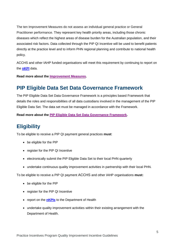The ten Improvement Measures do not assess an individual general practice or General Practitioner performance. They represent key health priority areas, including those chronic diseases which reflect the highest areas of disease burden for the Australian population, and their associated risk factors. Data collected through the PIP QI Incentive will be used to benefit patients directly at the practice level and to inform PHN regional planning and contribute to national health policy.

ACCHS and other IAHP funded organisations will meet this requirement by continuing to report on the **[nKPI](http://www.health.gov.au/internet/main/publishing.nsf/content/indigenous-nkpidata)** data.

**Read more about the [Improvement Measures.](https://www.health.gov.au/internet/main/publishing.nsf/Content/D4FE6997059769B8CA258426000794AF/$File/Practice%20Incentives%20Program%20Quality%20Improvement%20Measures.docx)**

#### **PIP Eligible Data Set Data Governance Framework**

The PIP Eligible Data Set Data Governance Framework is a principles based Framework that details the roles and responsibilities of all data custodians involved in the management of the PIP Eligible Data Set. The data set must be managed in accordance with the Framework.

**Read more about the [PIP Eligible Data Set Data Governance Framework.](https://www.health.gov.au/internet/main/publishing.nsf/Content/D4FE6997059769B8CA258426000794AF/$File/Practice%20Incentives%20Program%20Eligible%20Data%20Set%20Data%20Governance%20Framework.docx)**

### **Eligibility**

To be eligible to receive a PIP QI payment general practices **must**:

- be eligible for the PIP
- register for the PIP QI Incentive
- electronically submit the PIP Eligible Data Set to their local PHN quarterly
- undertake continuous quality improvement activities in partnership with their local PHN.

To be eligible to receive a PIP QI payment ACCHS and other IAHP organisations **must:**

- be eligible for the PIP
- register for the PIP QI Incentive
- report on the **[nKPIs](http://www.health.gov.au/internet/main/publishing.nsf/content/indigenous-nkpidata)** to the Department of Health
- undertake quality improvement activities within their existing arrangement with the Department of Health.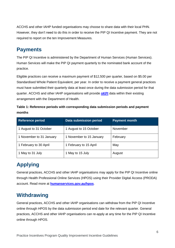ACCHS and other IAHP funded organisations may choose to share data with their local PHN. However, they don't need to do this in order to receive the PIP QI Incentive payment. They are not required to report on the ten Improvement Measures.

### **Payments**

The PIP QI Incentive is administered by the Department of Human Services (Human Services). Human Services will make the PIP QI payment quarterly to the nominated bank account of the practice.

Eligible practices can receive a maximum payment of \$12,500 per quarter, based on \$5.00 per Standardised Whole Patient Equivalent, per year. In order to receive a payment general practices must have submitted their quarterly data at least once during the data submission period for that quarter. ACCHS and other IAHP organisations will provide **[nKPI](http://www.health.gov.au/internet/main/publishing.nsf/content/indigenous-nkpidata)** data within their existing arrangement with the Department of Health.

| Table 1: Reference periods with corresponding data submission periods and payment |  |
|-----------------------------------------------------------------------------------|--|
| months                                                                            |  |

| <b>Reference period</b>  | Data submission period   | <b>Payment month</b> |
|--------------------------|--------------------------|----------------------|
| 1 August to 31 October   | 1 August to 15 October   | November             |
| 1 November to 31 January | 1 November to 15 January | February             |
| 1 February to 30 April   | 1 February to 15 April   | May                  |
| 1 May to 31 July         | 1 May to 15 July         | August               |

# **Applying**

General practices, ACCHS and other IAHP organisations may apply for the PIP QI Incentive online through [Health Professional Online Services \(HPOS\)](https://www.humanservices.gov.au/organisations/health-professionals/services/medicare/hpos) using their Provider Digital Access (PRODA) account. Read more at **[humanservices.gov.au/hpos](https://www.humanservices.gov.au/organisations/health-professionals/services/medicare/hpos)**.

# **Withdrawing**

General practices, ACCHS and other IAHP organisations can withdraw from the PIP QI Incentive online through HPOS by the data submission period end date for the relevant quarter. General practices, ACCHS and other IAHP organisations can re-apply at any time for the PIP QI Incentive online through HPOS.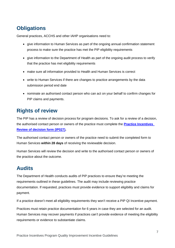# **Obligations**

General practices, ACCHS and other IAHP organisations need to:

- give information to Human Services as part of the ongoing annual confirmation statement process to make sure the practice has met the PIP eligibility requirements
- give information to the Department of Health as part of the ongoing audit process to verify that the practice has met eligibility requirements
- make sure all information provided to Health and Human Services is correct
- write to Human Services if there are changes to practice arrangements by the data submission period end date
- nominate an authorised contact person who can act on your behalf to confirm changes for PIP claims and payments.

### **Rights of review**

The PIP has a review of decision process for program decisions. To ask for a review of a decision, the authorised contact person or owners of the practice must complete the **[Practice Incentives](https://www.humanservices.gov.au/organisations/health-professionals/forms/ip027)  [Review of decision form \(IP027\)](https://www.humanservices.gov.au/organisations/health-professionals/forms/ip027).**

The authorised contact person or owners of the practice need to submit the completed form to Human Services **within 28 days** of receiving the reviewable decision.

Human Services will review the decision and write to the authorised contact person or owners of the practice about the outcome.

# **Audits**

The Department of Health conducts audits of PIP practices to ensure they're meeting the requirements outlined in these guidelines. The audit may include reviewing practice documentation. If requested, practices must provide evidence to support eligibility and claims for payment.

If a practice doesn't meet all eligibility requirements they won't receive a PIP QI Incentive payment.

Practices must retain practice documentation for 6 years in case they are selected for an audit. Human Services may recover payments if practices can't provide evidence of meeting the eligibility requirements or evidence to substantiate claims.